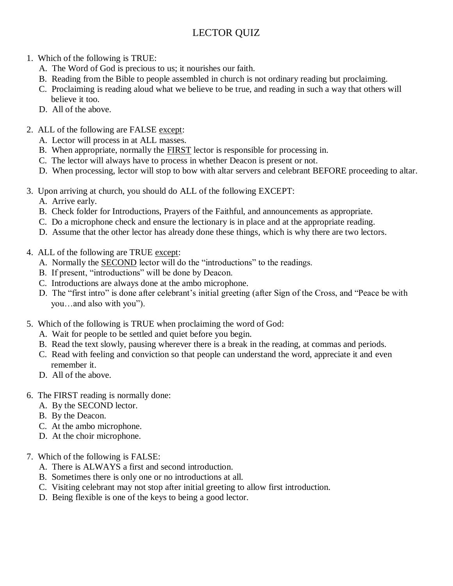## LECTOR QUIZ

- 1. Which of the following is TRUE:
	- A. The Word of God is precious to us; it nourishes our faith.
	- B. Reading from the Bible to people assembled in church is not ordinary reading but proclaiming.
	- C. Proclaiming is reading aloud what we believe to be true, and reading in such a way that others will believe it too.
	- D. All of the above.
- 2. ALL of the following are FALSE except:
	- A. Lector will process in at ALL masses.
	- B. When appropriate, normally the FIRST lector is responsible for processing in.
	- C. The lector will always have to process in whether Deacon is present or not.
	- D. When processing, lector will stop to bow with altar servers and celebrant BEFORE proceeding to altar.
- 3. Upon arriving at church, you should do ALL of the following EXCEPT:
	- A. Arrive early.
	- B. Check folder for Introductions, Prayers of the Faithful, and announcements as appropriate.
	- C. Do a microphone check and ensure the lectionary is in place and at the appropriate reading.
	- D. Assume that the other lector has already done these things, which is why there are two lectors.
- 4. ALL of the following are TRUE except:
	- A. Normally the SECOND lector will do the "introductions" to the readings.
	- B. If present, "introductions" will be done by Deacon.
	- C. Introductions are always done at the ambo microphone.
	- D. The "first intro" is done after celebrant's initial greeting (after Sign of the Cross, and "Peace be with you…and also with you").
- 5. Which of the following is TRUE when proclaiming the word of God:
	- A. Wait for people to be settled and quiet before you begin.
	- B. Read the text slowly, pausing wherever there is a break in the reading, at commas and periods.
	- C. Read with feeling and conviction so that people can understand the word, appreciate it and even remember it.
	- D. All of the above.
- 6. The FIRST reading is normally done:
	- A. By the SECOND lector.
	- B. By the Deacon.
	- C. At the ambo microphone.
	- D. At the choir microphone.
- 7. Which of the following is FALSE:
	- A. There is ALWAYS a first and second introduction.
	- B. Sometimes there is only one or no introductions at all.
	- C. Visiting celebrant may not stop after initial greeting to allow first introduction.
	- D. Being flexible is one of the keys to being a good lector.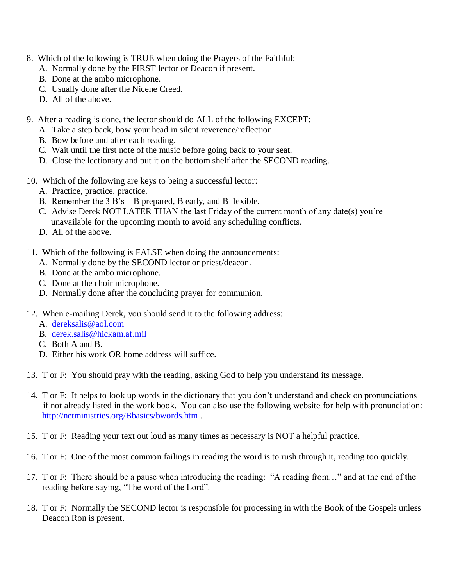- 8. Which of the following is TRUE when doing the Prayers of the Faithful:
	- A. Normally done by the FIRST lector or Deacon if present.
	- B. Done at the ambo microphone.
	- C. Usually done after the Nicene Creed.
	- D. All of the above.
- 9. After a reading is done, the lector should do ALL of the following EXCEPT:
	- A. Take a step back, bow your head in silent reverence/reflection.
	- B. Bow before and after each reading.
	- C. Wait until the first note of the music before going back to your seat.
	- D. Close the lectionary and put it on the bottom shelf after the SECOND reading.
- 10. Which of the following are keys to being a successful lector:
	- A. Practice, practice, practice.
	- B. Remember the 3 B's B prepared, B early, and B flexible.
	- C. Advise Derek NOT LATER THAN the last Friday of the current month of any date(s) you're unavailable for the upcoming month to avoid any scheduling conflicts.
	- D. All of the above.
- 11. Which of the following is FALSE when doing the announcements:
	- A. Normally done by the SECOND lector or priest/deacon.
	- B. Done at the ambo microphone.
	- C. Done at the choir microphone.
	- D. Normally done after the concluding prayer for communion.
- 12. When e-mailing Derek, you should send it to the following address:
	- A. [dereksalis@aol.com](mailto:dereksalis@aol.com)
	- B. [derek.salis@hickam.af.mil](mailto:derek.salis@hickam.af.mil)
	- C. Both A and B.
	- D. Either his work OR home address will suffice.
- 13. T or F: You should pray with the reading, asking God to help you understand its message.
- 14. T or F: It helps to look up words in the dictionary that you don't understand and check on pronunciations if not already listed in the work book. You can also use the following website for help with pronunciation: <http://netministries.org/Bbasics/bwords.htm> .
- 15. T or F: Reading your text out loud as many times as necessary is NOT a helpful practice.
- 16. T or F: One of the most common failings in reading the word is to rush through it, reading too quickly.
- 17. T or F: There should be a pause when introducing the reading: "A reading from…" and at the end of the reading before saying, "The word of the Lord".
- 18. T or F: Normally the SECOND lector is responsible for processing in with the Book of the Gospels unless Deacon Ron is present.